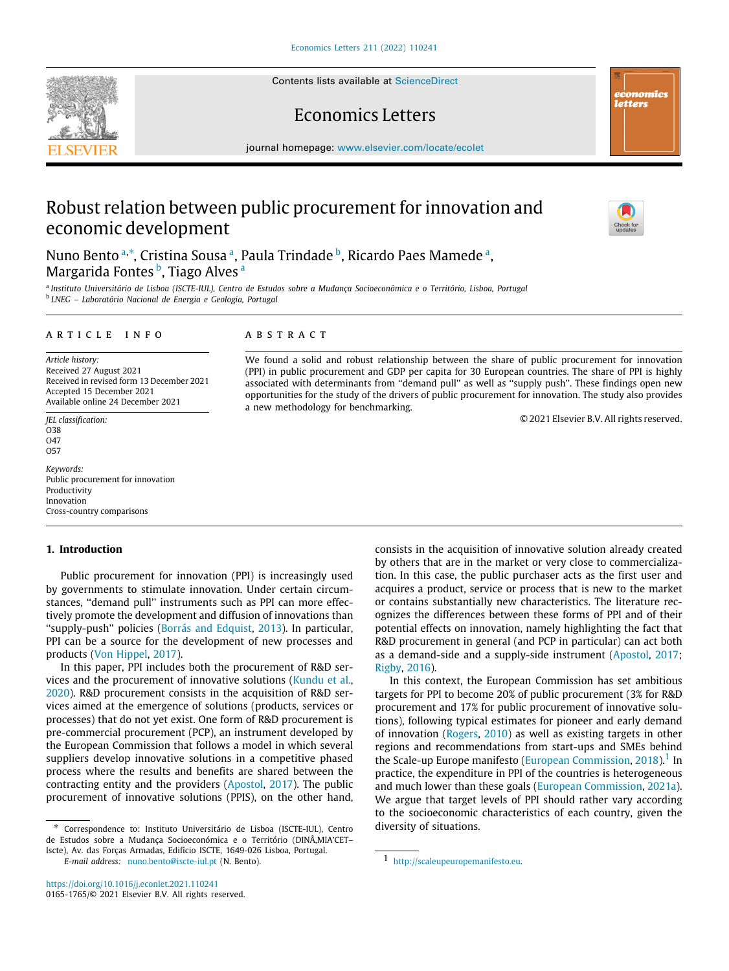Contents lists available at [ScienceDirect](http://www.elsevier.com/locate/ecolet)

## Economics Letters

journal homepage: [www.elsevier.com/locate/ecolet](http://www.elsevier.com/locate/ecolet)

# Robust relation between public procurement for innovation and economic development

Nuno Bento ª,\*, Cristin[a](#page-0-0) Sousa ª, Paula Trindade <sup>[b](#page-0-2)</sup>, Ricardo Paes Mamede ª, Margarida Fontes <sup>[b](#page-0-2)</sup>, Ti[a](#page-0-0)go Alves <sup>a</sup>

<span id="page-0-2"></span><span id="page-0-0"></span>a *Instituto Universitário de Lisboa (ISCTE-IUL), Centro de Estudos sobre a Mudança Socioeconómica e o Território, Lisboa, Portugal* b *LNEG – Laboratório Nacional de Energia e Geologia, Portugal*

## a r t i c l e i n f o

*Article history:* Received 27 August 2021 Received in revised form 13 December 2021 Accepted 15 December 2021 Available online 24 December 2021

*JEL classification:*  $038$ O47 O57

*Keywords:* Public procurement for innovation Productivity Innovation Cross-country comparisons

## **1. Introduction**

Public procurement for innovation (PPI) is increasingly used by governments to stimulate innovation. Under certain circumstances, ''demand pull'' instruments such as PPI can more effectively promote the development and diffusion of innovations than ''supply-push'' policies ([Borrás and Edquist,](#page-5-0) [2013](#page-5-0)). In particular, PPI can be a source for the development of new processes and products [\(Von Hippel,](#page-5-1) [2017](#page-5-1)).

In this paper, PPI includes both the procurement of R&D services and the procurement of innovative solutions [\(Kundu et al.,](#page-5-2) [2020\)](#page-5-2). R&D procurement consists in the acquisition of R&D services aimed at the emergence of solutions (products, services or processes) that do not yet exist. One form of R&D procurement is pre-commercial procurement (PCP), an instrument developed by the European Commission that follows a model in which several suppliers develop innovative solutions in a competitive phased process where the results and benefits are shared between the contracting entity and the providers [\(Apostol](#page-5-3), [2017\)](#page-5-3). The public procurement of innovative solutions (PPIS), on the other hand,

<span id="page-0-1"></span>∗ Correspondence to: Instituto Universitário de Lisboa (ISCTE-IUL), Centro de Estudos sobre a Mudança Socioeconómica e o Território (DINÂ,MIA'CET– Iscte), Av. das Forças Armadas, Edifício ISCTE, 1649-026 Lisboa, Portugal.

*E-mail address:* [nuno.bento@iscte-iul.pt](mailto:nuno.bento@iscte-iul.pt) (N. Bento).

## A B S T R A C T

We found a solid and robust relationship between the share of public procurement for innovation (PPI) in public procurement and GDP per capita for 30 European countries. The share of PPI is highly associated with determinants from ''demand pull'' as well as ''supply push''. These findings open new opportunities for the study of the drivers of public procurement for innovation. The study also provides a new methodology for benchmarking.

© 2021 Elsevier B.V. All rights reserved.

consists in the acquisition of innovative solution already created by others that are in the market or very close to commercialization. In this case, the public purchaser acts as the first user and acquires a product, service or process that is new to the market or contains substantially new characteristics. The literature recognizes the differences between these forms of PPI and of their potential effects on innovation, namely highlighting the fact that R&D procurement in general (and PCP in particular) can act both as a demand-side and a supply-side instrument [\(Apostol](#page-5-3), [2017;](#page-5-3) [Rigby](#page-5-4), [2016\)](#page-5-4).

In this context, the European Commission has set ambitious targets for PPI to become 20% of public procurement (3% for R&D procurement and 17% for public procurement of innovative solutions), following typical estimates for pioneer and early demand of innovation ([Rogers,](#page-5-5) [2010\)](#page-5-5) as well as existing targets in other regions and recommendations from start-ups and SMEs behind the Scale-up Europe manifesto [\(European Commission,](#page-5-6) [2018](#page-5-6)).<sup>[1](#page-0-3)</sup> In practice, the expenditure in PPI of the countries is heterogeneous and much lower than these goals [\(European Commission,](#page-5-7) [2021a\)](#page-5-7). We argue that target levels of PPI should rather vary according to the socioeconomic characteristics of each country, given the diversity of situations.







<span id="page-0-3"></span><sup>1</sup> <http://scaleupeuropemanifesto.eu>.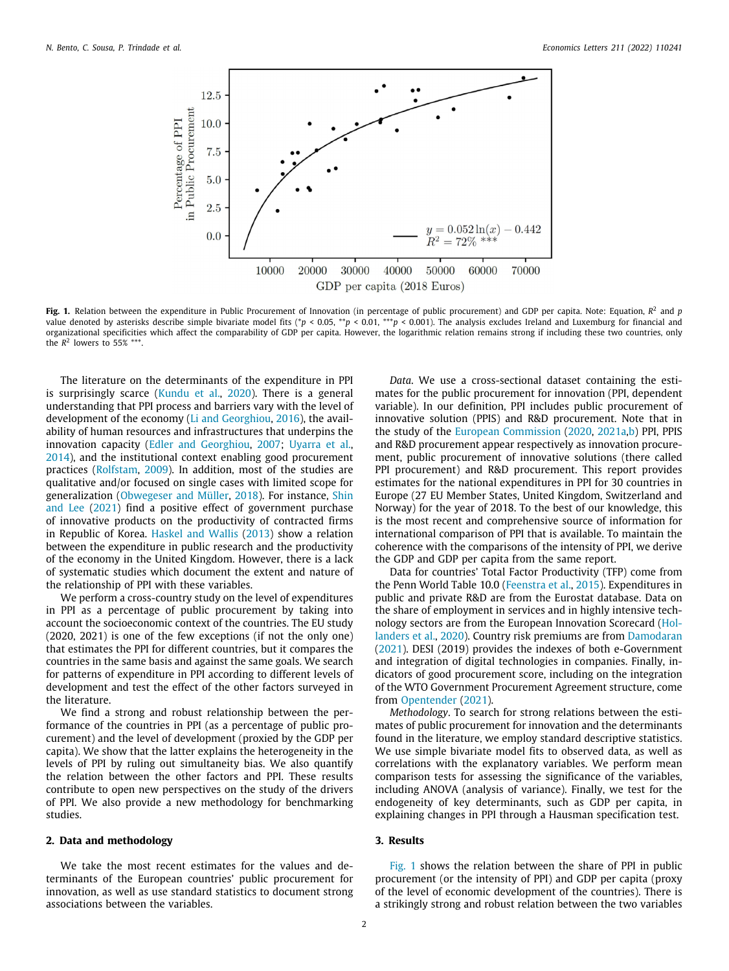

<span id="page-1-0"></span>**Fig. 1.** Relation between the expenditure in Public Procurement of Innovation (in percentage of public procurement) and GDP per capita. Note: Equation, *R* 2 and *p* value denoted by asterisks describe simple bivariate model fits (\**p* < 0.05, \*\**p* < 0.01, \*\*\**p* < 0.001). The analysis excludes Ireland and Luxemburg for financial and organizational specificities which affect the comparability of GDP per capita. However, the logarithmic relation remains strong if including these two countries, only the  $R^2$  lowers to 55% \*\*\*.

The literature on the determinants of the expenditure in PPI is surprisingly scarce [\(Kundu et al.,](#page-5-2) [2020](#page-5-2)). There is a general understanding that PPI process and barriers vary with the level of development of the economy ([Li and Georghiou](#page-5-8), [2016\)](#page-5-8), the availability of human resources and infrastructures that underpins the innovation capacity ([Edler and Georghiou](#page-5-9), [2007](#page-5-9); [Uyarra et al.,](#page-5-10) [2014\)](#page-5-10), and the institutional context enabling good procurement practices ([Rolfstam,](#page-5-11) [2009](#page-5-11)). In addition, most of the studies are qualitative and/or focused on single cases with limited scope for generalization [\(Obwegeser and Müller,](#page-5-12) [2018](#page-5-12)). For instance, [Shin](#page-5-13) [and Lee](#page-5-13) [\(2021\)](#page-5-13) find a positive effect of government purchase of innovative products on the productivity of contracted firms in Republic of Korea. [Haskel and Wallis](#page-5-14) [\(2013](#page-5-14)) show a relation between the expenditure in public research and the productivity of the economy in the United Kingdom. However, there is a lack of systematic studies which document the extent and nature of the relationship of PPI with these variables.

We perform a cross-country study on the level of expenditures in PPI as a percentage of public procurement by taking into account the socioeconomic context of the countries. The EU study (2020, 2021) is one of the few exceptions (if not the only one) that estimates the PPI for different countries, but it compares the countries in the same basis and against the same goals. We search for patterns of expenditure in PPI according to different levels of development and test the effect of the other factors surveyed in the literature.

We find a strong and robust relationship between the performance of the countries in PPI (as a percentage of public procurement) and the level of development (proxied by the GDP per capita). We show that the latter explains the heterogeneity in the levels of PPI by ruling out simultaneity bias. We also quantify the relation between the other factors and PPI. These results contribute to open new perspectives on the study of the drivers of PPI. We also provide a new methodology for benchmarking studies.

#### **2. Data and methodology**

We take the most recent estimates for the values and determinants of the European countries' public procurement for innovation, as well as use standard statistics to document strong associations between the variables.

*Data*. We use a cross-sectional dataset containing the estimates for the public procurement for innovation (PPI, dependent variable). In our definition, PPI includes public procurement of innovative solution (PPIS) and R&D procurement. Note that in the study of the [European Commission](#page-5-15) [\(2020,](#page-5-15) [2021a,](#page-5-7)[b\)](#page-5-16) PPI, PPIS and R&D procurement appear respectively as innovation procurement, public procurement of innovative solutions (there called PPI procurement) and R&D procurement. This report provides estimates for the national expenditures in PPI for 30 countries in Europe (27 EU Member States, United Kingdom, Switzerland and Norway) for the year of 2018. To the best of our knowledge, this is the most recent and comprehensive source of information for international comparison of PPI that is available. To maintain the coherence with the comparisons of the intensity of PPI, we derive the GDP and GDP per capita from the same report.

Data for countries' Total Factor Productivity (TFP) come from the Penn World Table 10.0 ([Feenstra et al.,](#page-5-17) [2015](#page-5-17)). Expenditures in public and private R&D are from the Eurostat database. Data on the share of employment in services and in highly intensive technology sectors are from the European Innovation Scorecard ([Hol](#page-5-18)[landers et al.,](#page-5-18) [2020](#page-5-18)). Country risk premiums are from [Damodaran](#page-5-19) ([2021\)](#page-5-19). DESI (2019) provides the indexes of both e-Government and integration of digital technologies in companies. Finally, indicators of good procurement score, including on the integration of the WTO Government Procurement Agreement structure, come from [Opentender](#page-5-20) [\(2021](#page-5-20)).

*Methodology*. To search for strong relations between the estimates of public procurement for innovation and the determinants found in the literature, we employ standard descriptive statistics. We use simple bivariate model fits to observed data, as well as correlations with the explanatory variables. We perform mean comparison tests for assessing the significance of the variables, including ANOVA (analysis of variance). Finally, we test for the endogeneity of key determinants, such as GDP per capita, in explaining changes in PPI through a Hausman specification test.

#### **3. Results**

[Fig.](#page-1-0) [1](#page-1-0) shows the relation between the share of PPI in public procurement (or the intensity of PPI) and GDP per capita (proxy of the level of economic development of the countries). There is a strikingly strong and robust relation between the two variables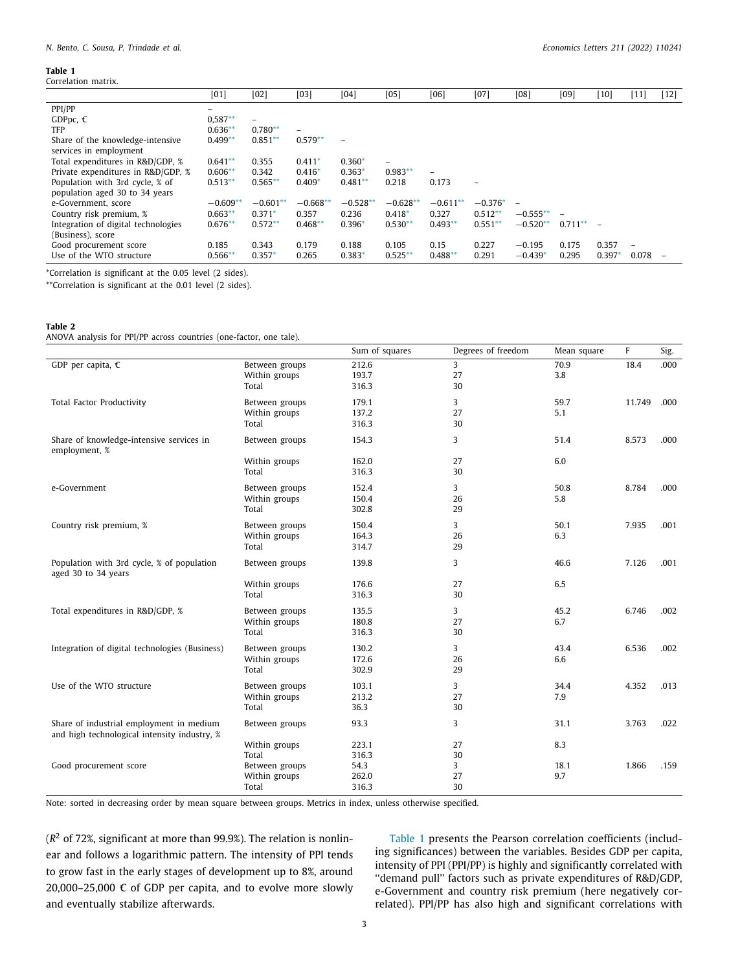#### **Table 1**

<span id="page-2-2"></span>

| Correlation matrix.                                               |            |                          |            |                          |                          |            |                          |                          |           |                          |       |                          |
|-------------------------------------------------------------------|------------|--------------------------|------------|--------------------------|--------------------------|------------|--------------------------|--------------------------|-----------|--------------------------|-------|--------------------------|
|                                                                   | [01]       | [02]                     | [03]       | [04]                     | [05]                     | [06]       | [07]                     | [08]                     | [09]      | $[10]$                   | [11]  | $[12]$                   |
| PPI/PP                                                            |            |                          |            |                          |                          |            |                          |                          |           |                          |       |                          |
| GDPpc, $\epsilon$                                                 | $0,587**$  | $\overline{\phantom{a}}$ |            |                          |                          |            |                          |                          |           |                          |       |                          |
| TFP                                                               | $0.636**$  | $0.780**$                | -          |                          |                          |            |                          |                          |           |                          |       |                          |
| Share of the knowledge-intensive<br>services in employment        | $0.499**$  | $0.851**$                | $0.579**$  | $\overline{\phantom{0}}$ |                          |            |                          |                          |           |                          |       |                          |
| Total expenditures in R&D/GDP, %                                  | $0.641**$  | 0.355                    | $0.411*$   | $0.360*$                 | $\overline{\phantom{0}}$ |            |                          |                          |           |                          |       |                          |
| Private expenditures in R&D/GDP, %                                | $0.606**$  | 0.342                    | $0.416*$   | $0.363*$                 | $0.983**$                |            |                          |                          |           |                          |       |                          |
| Population with 3rd cycle, % of<br>population aged 30 to 34 years | $0.513**$  | $0.565**$                | $0.409*$   | $0.481**$                | 0.218                    | 0.173      | $\overline{\phantom{0}}$ |                          |           |                          |       |                          |
| e-Government, score                                               | $-0.609**$ | $-0.601**$               | $-0.668**$ | $-0.528**$               | $-0.628**$               | $-0.611**$ | $-0.376*$                | $\overline{\phantom{0}}$ |           |                          |       |                          |
| Country risk premium, %                                           | $0.663**$  | $0.371*$                 | 0.357      | 0.236                    | $0.418*$                 | 0.327      | $0.512**$                | $-0.555***$              |           |                          |       |                          |
| Integration of digital technologies                               | $0.676**$  | $0.572**$                | $0.468**$  | 0.396                    | $0.530**$                | $0.493**$  | $0.551**$                | $-0.520**$               | $0.711**$ | $\overline{\phantom{0}}$ |       |                          |
| (Business), score                                                 |            |                          |            |                          |                          |            |                          |                          |           |                          |       |                          |
| Good procurement score                                            | 0.185      | 0.343                    | 0.179      | 0.188                    | 0.105                    | 0.15       | 0.227                    | $-0.195$                 | 0.175     | 0.357                    | -     |                          |
| Use of the WTO structure                                          | $0.566**$  | $0.357*$                 | 0.265      | 0.383                    | $0.525*$                 | $0.488**$  | 0.291                    | $-0.439^*$               | 0.295     | 0.397                    | 0.078 | $\overline{\phantom{0}}$ |

<span id="page-2-1"></span>\*Correlation is significant at the 0.05 level (2 sides).

<span id="page-2-0"></span>\*\*Correlation is significant at the 0.01 level (2 sides).

#### **Table 2**

<span id="page-2-3"></span>ANOVA analysis for PPI/PP across countries (one-factor, one tale).

|                                                                                          |                | Sum of squares | Degrees of freedom | Mean square | F      | Sig. |
|------------------------------------------------------------------------------------------|----------------|----------------|--------------------|-------------|--------|------|
| GDP per capita, $C$                                                                      | Between groups | 212.6          | 3                  | 70.9        | 18.4   | .000 |
|                                                                                          | Within groups  | 193.7          | 27                 | 3.8         |        |      |
|                                                                                          | Total          | 316.3          | 30                 |             |        |      |
| <b>Total Factor Productivity</b>                                                         | Between groups | 179.1          | 3                  | 59.7        | 11.749 | .000 |
|                                                                                          | Within groups  | 137.2          | 27                 | 5.1         |        |      |
|                                                                                          | Total          | 316.3          | 30                 |             |        |      |
| Share of knowledge-intensive services in<br>employment, %                                | Between groups | 154.3          | 3                  | 51.4        | 8.573  | .000 |
|                                                                                          | Within groups  | 162.0          | 27                 | 6.0         |        |      |
|                                                                                          | Total          | 316.3          | 30                 |             |        |      |
| e-Government                                                                             | Between groups | 152.4          | 3                  | 50.8        | 8.784  | .000 |
|                                                                                          | Within groups  | 150.4          | 26                 | 5.8         |        |      |
|                                                                                          | Total          | 302.8          | 29                 |             |        |      |
| Country risk premium, %                                                                  | Between groups | 150.4          | 3                  | 50.1        | 7.935  | .001 |
|                                                                                          | Within groups  | 164.3          | 26                 | 6.3         |        |      |
|                                                                                          | Total          | 314.7          | 29                 |             |        |      |
| Population with 3rd cycle, % of population<br>aged 30 to 34 years                        | Between groups | 139.8          | 3                  | 46.6        | 7.126  | .001 |
|                                                                                          | Within groups  | 176.6          | 27                 | 6.5         |        |      |
|                                                                                          | Total          | 316.3          | 30                 |             |        |      |
| Total expenditures in R&D/GDP, %                                                         | Between groups | 135.5          | 3                  | 45.2        | 6.746  | .002 |
|                                                                                          | Within groups  | 180.8          | 27                 | 6.7         |        |      |
|                                                                                          | Total          | 316.3          | 30                 |             |        |      |
| Integration of digital technologies (Business)                                           | Between groups | 130.2          | 3                  | 43.4        | 6.536  | .002 |
|                                                                                          | Within groups  | 172.6          | 26                 | 6.6         |        |      |
|                                                                                          | Total          | 302.9          | 29                 |             |        |      |
| Use of the WTO structure                                                                 | Between groups | 103.1          | 3                  | 34.4        | 4.352  | .013 |
|                                                                                          | Within groups  | 213.2          | 27                 | 7.9         |        |      |
|                                                                                          | Total          | 36.3           | 30                 |             |        |      |
| Share of industrial employment in medium<br>and high technological intensity industry, % | Between groups | 93.3           | 3                  | 31.1        | 3.763  | .022 |
|                                                                                          | Within groups  | 223.1          | 27                 | 8.3         |        |      |
|                                                                                          | Total          | 316.3          | 30                 |             |        |      |
| Good procurement score                                                                   | Between groups | 54.3           | 3                  | 18.1        | 1.866  | .159 |
|                                                                                          | Within groups  | 262.0          | 27                 | 9.7         |        |      |
|                                                                                          | Total          | 316.3          | 30                 |             |        |      |

Note: sorted in decreasing order by mean square between groups. Metrics in index, unless otherwise specified.

(*R* <sup>2</sup> of 72%, significant at more than 99.9%). The relation is nonlinear and follows a logarithmic pattern. The intensity of PPI tends to grow fast in the early stages of development up to 8%, around 20,000–25,000 € of GDP per capita, and to evolve more slowly and eventually stabilize afterwards.

[Table](#page-2-2) [1](#page-2-2) presents the Pearson correlation coefficients (including significances) between the variables. Besides GDP per capita, intensity of PPI (PPI/PP) is highly and significantly correlated with ''demand pull'' factors such as private expenditures of R&D/GDP, e-Government and country risk premium (here negatively correlated). PPI/PP has also high and significant correlations with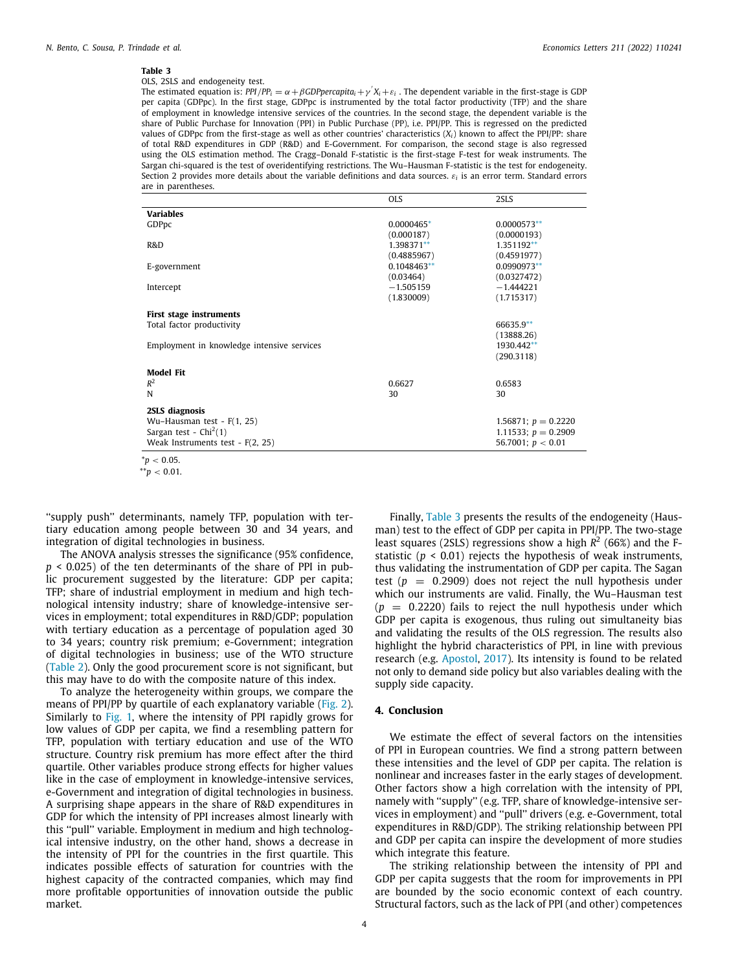#### **Table 3**

## OLS, 2SLS and endogeneity test.

The estimated equation is:  $PPI/PP_i = \alpha + \beta GDPpercapita_i + \gamma'X_i + \varepsilon_i$ . The dependent variable in the first-stage is GDP per capita (GDPpc). In the first stage, GDPpc is instrumented by the total factor productivity (TFP) and the share of employment in knowledge intensive services of the countries. In the second stage, the dependent variable is the share of Public Purchase for Innovation (PPI) in Public Purchase (PP), i.e. PPI/PP. This is regressed on the predicted values of GDPpc from the first-stage as well as other countries' characteristics (*Xi*) known to affect the PPI/PP: share of total R&D expenditures in GDP (R&D) and E-Government. For comparison, the second stage is also regressed using the OLS estimation method. The Cragg–Donald F-statistic is the first-stage F-test for weak instruments. The Sargan chi-squared is the test of overidentifying restrictions. The Wu–Hausman F-statistic is the test for endogeneity. Section 2 provides more details about the variable definitions and data sources. ε*<sup>i</sup>* is an error term. Standard errors are in parentheses.

<span id="page-3-2"></span>

|                                            | <b>OLS</b>    | 2SLS                  |
|--------------------------------------------|---------------|-----------------------|
| <b>Variables</b>                           |               |                       |
| GDPpc                                      | 0.0000465*    | $0.0000573**$         |
|                                            | (0.000187)    | (0.0000193)           |
| R&D                                        | 1.398371**    | 1.351192**            |
|                                            | (0.4885967)   | (0.4591977)           |
| E-government                               | $0.1048463**$ | 0.0990973**           |
|                                            | (0.03464)     | (0.0327472)           |
| Intercept                                  | $-1.505159$   | $-1.444221$           |
|                                            | (1.830009)    | (1.715317)            |
| First stage instruments                    |               |                       |
| Total factor productivity                  |               | 66635.9**             |
|                                            |               | (13888.26)            |
| Employment in knowledge intensive services |               | 1930.442**            |
|                                            |               | (290.3118)            |
| <b>Model Fit</b>                           |               |                       |
| $R^2$                                      | 0.6627        | 0.6583                |
| N                                          | 30            | 30                    |
| 2SLS diagnosis                             |               |                       |
| Wu-Hausman test - $F(1, 25)$               |               | 1.56871; $p = 0.2220$ |
| Sargan test - $Chi2(1)$                    |               | 1.11533; $p = 0.2909$ |
| Weak Instruments test - $F(2, 25)$         |               | 56.7001; $p < 0.01$   |
|                                            |               |                       |

<span id="page-3-0"></span> $*_{p}$  < 0.05.

''supply push'' determinants, namely TFP, population with tertiary education among people between 30 and 34 years, and integration of digital technologies in business.

The ANOVA analysis stresses the significance (95% confidence, *p* < 0.025) of the ten determinants of the share of PPI in public procurement suggested by the literature: GDP per capita; TFP; share of industrial employment in medium and high technological intensity industry; share of knowledge-intensive services in employment; total expenditures in R&D/GDP; population with tertiary education as a percentage of population aged 30 to 34 years; country risk premium; e-Government; integration of digital technologies in business; use of the WTO structure ([Table](#page-2-3) [2\)](#page-2-3). Only the good procurement score is not significant, but this may have to do with the composite nature of this index.

To analyze the heterogeneity within groups, we compare the means of PPI/PP by quartile of each explanatory variable ([Fig.](#page-4-0) [2\)](#page-4-0). Similarly to [Fig.](#page-1-0) [1,](#page-1-0) where the intensity of PPI rapidly grows for low values of GDP per capita, we find a resembling pattern for TFP, population with tertiary education and use of the WTO structure. Country risk premium has more effect after the third quartile. Other variables produce strong effects for higher values like in the case of employment in knowledge-intensive services, e-Government and integration of digital technologies in business. A surprising shape appears in the share of R&D expenditures in GDP for which the intensity of PPI increases almost linearly with this ''pull'' variable. Employment in medium and high technological intensive industry, on the other hand, shows a decrease in the intensity of PPI for the countries in the first quartile. This indicates possible effects of saturation for countries with the highest capacity of the contracted companies, which may find more profitable opportunities of innovation outside the public market.

Finally, [Table](#page-3-2) [3](#page-3-2) presents the results of the endogeneity (Hausman) test to the effect of GDP per capita in PPI/PP. The two-stage least squares (2SLS) regressions show a high *R* 2 (66%) and the Fstatistic ( $p < 0.01$ ) rejects the hypothesis of weak instruments, thus validating the instrumentation of GDP per capita. The Sagan test  $(p = 0.2909)$  does not reject the null hypothesis under which our instruments are valid. Finally, the Wu–Hausman test  $(p = 0.2220)$  fails to reject the null hypothesis under which GDP per capita is exogenous, thus ruling out simultaneity bias and validating the results of the OLS regression. The results also highlight the hybrid characteristics of PPI, in line with previous research (e.g. [Apostol](#page-5-3), [2017\)](#page-5-3). Its intensity is found to be related not only to demand side policy but also variables dealing with the supply side capacity.

## **4. Conclusion**

We estimate the effect of several factors on the intensities of PPI in European countries. We find a strong pattern between these intensities and the level of GDP per capita. The relation is nonlinear and increases faster in the early stages of development. Other factors show a high correlation with the intensity of PPI, namely with ''supply'' (e.g. TFP, share of knowledge-intensive services in employment) and ''pull'' drivers (e.g. e-Government, total expenditures in R&D/GDP). The striking relationship between PPI and GDP per capita can inspire the development of more studies which integrate this feature.

The striking relationship between the intensity of PPI and GDP per capita suggests that the room for improvements in PPI are bounded by the socio economic context of each country. Structural factors, such as the lack of PPI (and other) competences

<span id="page-3-1"></span><sup>\*\*</sup>*p* < 0.01.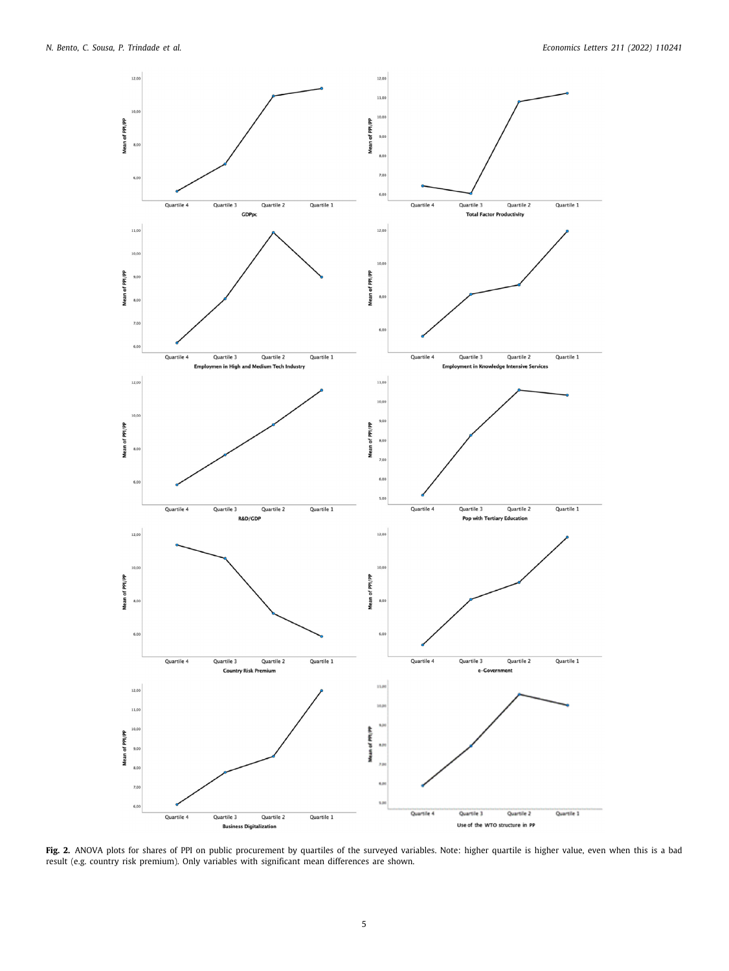

<span id="page-4-0"></span>Fig. 2. ANOVA plots for shares of PPI on public procurement by quartiles of the surveyed variables. Note: higher quartile is higher value, even when this is a bad result (e.g. country risk premium). Only variables with significant mean differences are shown.